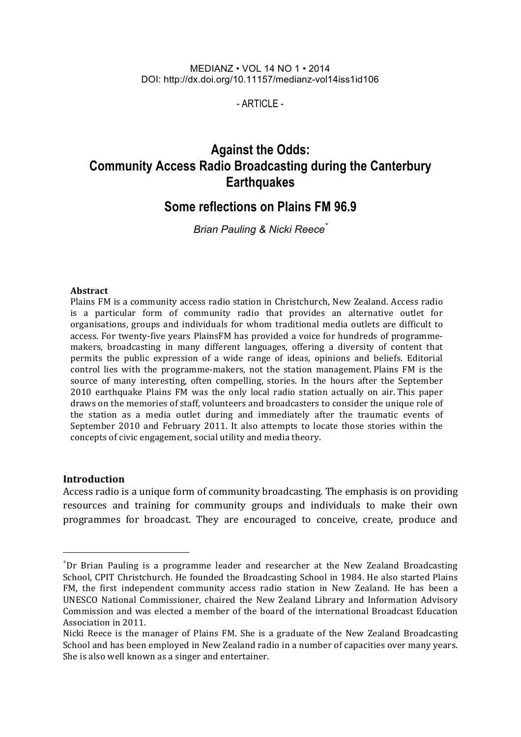#### MEDIANZ • VOL 14 NO 1 • 2014 DOI: http://dx.doi.org/10.11157/medianz-vol14iss1id106

 $-$  ARTICLE  $-$ 

# **Against the Odds: Community Access Radio Broadcasting during the Canterbury Earthquakes**

## **Some reflections on Plains FM 96.9**

*Brian Pauling & Nicki Reece\**

#### **Abstract**

Plains FM is a community access radio station in Christchurch, New Zealand. Access radio is a particular form of community radio that provides an alternative outlet for organisations, groups and individuals for whom traditional media outlets are difficult to access. For twenty-five years PlainsFM has provided a voice for hundreds of programmemakers, broadcasting in many different languages, offering a diversity of content that permits the public expression of a wide range of ideas, opinions and beliefs. Editorial control lies with the programme-makers, not the station management. Plains FM is the source of many interesting, often compelling, stories. In the hours after the September 2010 earthquake Plains FM was the only local radio station actually on air. This paper draws on the memories of staff, volunteers and broadcasters to consider the unique role of the station as a media outlet during and immediately after the traumatic events of September 2010 and February 2011. It also attempts to locate those stories within the concepts of civic engagement, social utility and media theory.

#### **Introduction**

l

Access radio is a unique form of community broadcasting. The emphasis is on providing resources and training for community groups and individuals to make their own programmes for broadcast. They are encouraged to conceive, create, produce and

 $*$ Dr Brian Pauling is a programme leader and researcher at the New Zealand Broadcasting School, CPIT Christchurch. He founded the Broadcasting School in 1984. He also started Plains FM, the first independent community access radio station in New Zealand. He has been a UNESCO National Commissioner, chaired the New Zealand Library and Information Advisory Commission and was elected a member of the board of the international Broadcast Education Association in 2011.

Nicki Reece is the manager of Plains FM. She is a graduate of the New Zealand Broadcasting School and has been employed in New Zealand radio in a number of capacities over many years. She is also well known as a singer and entertainer.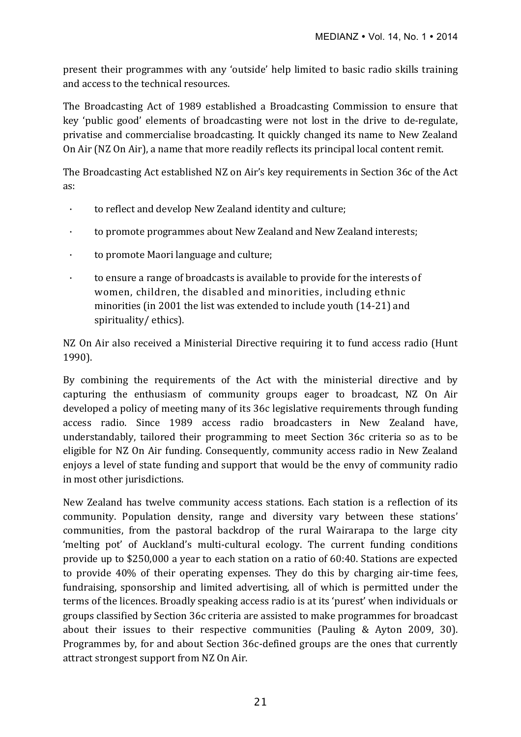present their programmes with any 'outside' help limited to basic radio skills training and access to the technical resources.

The Broadcasting Act of 1989 established a Broadcasting Commission to ensure that key 'public good' elements of broadcasting were not lost in the drive to de-regulate, privatise and commercialise broadcasting. It quickly changed its name to New Zealand On Air (NZ On Air), a name that more readily reflects its principal local content remit.

The Broadcasting Act established NZ on Air's key requirements in Section 36c of the Act as:

- $\cdot$  to reflect and develop New Zealand identity and culture;
- · to promote programmes about New Zealand and New Zealand interests;
- $\cdot$  to promote Maori language and culture;
- to ensure a range of broadcasts is available to provide for the interests of women, children, the disabled and minorities, including ethnic minorities (in 2001 the list was extended to include youth (14-21) and spirituality/ ethics).

NZ On Air also received a Ministerial Directive requiring it to fund access radio (Hunt 1990). 

By combining the requirements of the Act with the ministerial directive and by capturing the enthusiasm of community groups eager to broadcast, NZ On Air developed a policy of meeting many of its 36c legislative requirements through funding access radio. Since 1989 access radio broadcasters in New Zealand have, understandably, tailored their programming to meet Section 36c criteria so as to be eligible for NZ On Air funding. Consequently, community access radio in New Zealand enjoys a level of state funding and support that would be the envy of community radio in most other jurisdictions.

New Zealand has twelve community access stations. Each station is a reflection of its community. Population density, range and diversity vary between these stations' communities, from the pastoral backdrop of the rural Wairarapa to the large city 'melting pot' of Auckland's multi-cultural ecology. The current funding conditions provide up to \$250,000 a year to each station on a ratio of 60:40. Stations are expected to provide 40% of their operating expenses. They do this by charging air-time fees, fundraising, sponsorship and limited advertising, all of which is permitted under the terms of the licences. Broadly speaking access radio is at its 'purest' when individuals or groups classified by Section 36c criteria are assisted to make programmes for broadcast about their issues to their respective communities (Pauling & Ayton 2009, 30). Programmes by, for and about Section 36c-defined groups are the ones that currently attract strongest support from NZ On Air.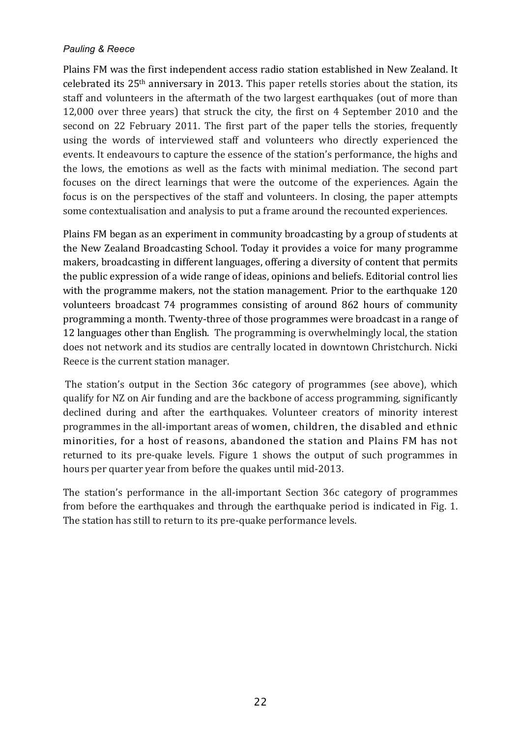Plains FM was the first independent access radio station established in New Zealand. It celebrated its  $25<sup>th</sup>$  anniversary in 2013. This paper retells stories about the station, its staff and volunteers in the aftermath of the two largest earthquakes (out of more than 12,000 over three years) that struck the city, the first on 4 September 2010 and the second on 22 February 2011. The first part of the paper tells the stories, frequently using the words of interviewed staff and volunteers who directly experienced the events. It endeavours to capture the essence of the station's performance, the highs and the lows, the emotions as well as the facts with minimal mediation. The second part focuses on the direct learnings that were the outcome of the experiences. Again the focus is on the perspectives of the staff and volunteers. In closing, the paper attempts some contextualisation and analysis to put a frame around the recounted experiences.

Plains FM began as an experiment in community broadcasting by a group of students at the New Zealand Broadcasting School. Today it provides a voice for many programme makers, broadcasting in different languages, offering a diversity of content that permits the public expression of a wide range of ideas, opinions and beliefs. Editorial control lies with the programme makers, not the station management. Prior to the earthquake 120 volunteers broadcast 74 programmes consisting of around 862 hours of community programming a month. Twenty-three of those programmes were broadcast in a range of 12 languages other than English. The programming is overwhelmingly local, the station does not network and its studios are centrally located in downtown Christchurch. Nicki Reece is the current station manager.

The station's output in the Section 36c category of programmes (see above), which qualify for NZ on Air funding and are the backbone of access programming, significantly declined during and after the earthquakes. Volunteer creators of minority interest programmes in the all-important areas of women, children, the disabled and ethnic minorities, for a host of reasons, abandoned the station and Plains FM has not returned to its pre-quake levels. Figure 1 shows the output of such programmes in hours per quarter year from before the quakes until mid-2013.

The station's performance in the all-important Section 36c category of programmes from before the earthquakes and through the earthquake period is indicated in Fig. 1. The station has still to return to its pre-quake performance levels.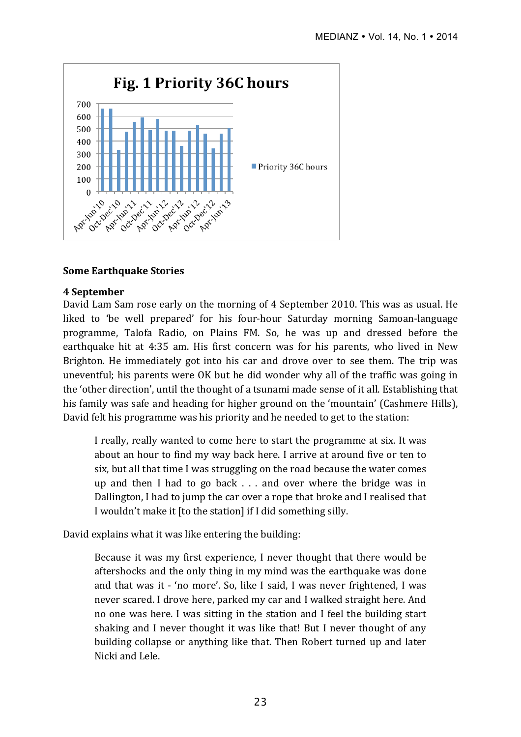

## **Some Earthquake Stories**

#### **4 September**

David Lam Sam rose early on the morning of 4 September 2010. This was as usual. He liked to 'be well prepared' for his four-hour Saturday morning Samoan-language programme, Talofa Radio, on Plains FM. So, he was up and dressed before the earthquake hit at 4:35 am. His first concern was for his parents, who lived in New Brighton. He immediately got into his car and drove over to see them. The trip was uneventful; his parents were OK but he did wonder why all of the traffic was going in the 'other direction', until the thought of a tsunami made sense of it all. Establishing that his family was safe and heading for higher ground on the 'mountain' (Cashmere Hills), David felt his programme was his priority and he needed to get to the station:

I really, really wanted to come here to start the programme at six. It was about an hour to find my way back here. I arrive at around five or ten to six, but all that time I was struggling on the road because the water comes up and then I had to go back  $\ldots$  and over where the bridge was in Dallington, I had to jump the car over a rope that broke and I realised that I wouldn't make it [to the station] if I did something silly.

David explains what it was like entering the building:

Because it was my first experience, I never thought that there would be aftershocks and the only thing in my mind was the earthquake was done and that was it - 'no more'. So, like I said, I was never frightened, I was never scared. I drove here, parked my car and I walked straight here. And no one was here. I was sitting in the station and I feel the building start shaking and I never thought it was like that! But I never thought of any building collapse or anything like that. Then Robert turned up and later Nicki and Lele.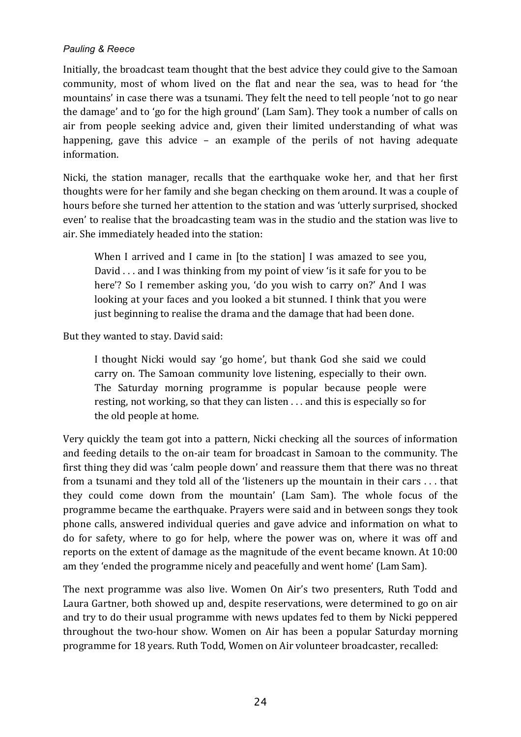Initially, the broadcast team thought that the best advice they could give to the Samoan community, most of whom lived on the flat and near the sea, was to head for 'the mountains' in case there was a tsunami. They felt the need to tell people 'not to go near the damage' and to 'go for the high ground' (Lam Sam). They took a number of calls on air from people seeking advice and, given their limited understanding of what was happening, gave this advice  $-$  an example of the perils of not having adequate information.

Nicki, the station manager, recalls that the earthquake woke her, and that her first thoughts were for her family and she began checking on them around. It was a couple of hours before she turned her attention to the station and was 'utterly surprised, shocked even' to realise that the broadcasting team was in the studio and the station was live to air. She immediately headed into the station:

When I arrived and I came in  $[$  to the station $]$  I was amazed to see you, David  $\ldots$  and I was thinking from my point of view 'is it safe for you to be here'? So I remember asking you, 'do you wish to carry on?' And I was looking at your faces and you looked a bit stunned. I think that you were just beginning to realise the drama and the damage that had been done.

But they wanted to stay. David said:

I thought Nicki would say 'go home', but thank God she said we could carry on. The Samoan community love listening, especially to their own. The Saturday morning programme is popular because people were resting, not working, so that they can listen  $\dots$  and this is especially so for the old people at home.

Very quickly the team got into a pattern, Nicki checking all the sources of information and feeding details to the on-air team for broadcast in Samoan to the community. The first thing they did was 'calm people down' and reassure them that there was no threat from a tsunami and they told all of the 'listeners up the mountain in their cars  $\dots$  that they could come down from the mountain' (Lam Sam). The whole focus of the programme became the earthquake. Prayers were said and in between songs they took phone calls, answered individual queries and gave advice and information on what to do for safety, where to go for help, where the power was on, where it was off and reports on the extent of damage as the magnitude of the event became known. At 10:00 am they 'ended the programme nicely and peacefully and went home' (Lam Sam).

The next programme was also live. Women On Air's two presenters, Ruth Todd and Laura Gartner, both showed up and, despite reservations, were determined to go on air and try to do their usual programme with news updates fed to them by Nicki peppered throughout the two-hour show. Women on Air has been a popular Saturday morning programme for 18 years. Ruth Todd, Women on Air volunteer broadcaster, recalled: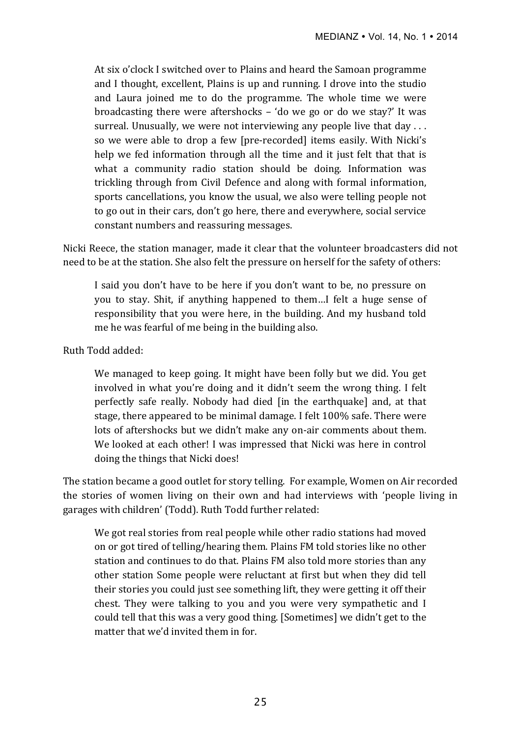At six o'clock I switched over to Plains and heard the Samoan programme and I thought, excellent, Plains is up and running. I drove into the studio and Laura joined me to do the programme. The whole time we were broadcasting there were aftershocks  $-$  'do we go or do we stay?' It was surreal. Unusually, we were not interviewing any people live that  $day \ldots$ so we were able to drop a few [pre-recorded] items easily. With Nicki's help we fed information through all the time and it just felt that that is what a community radio station should be doing. Information was trickling through from Civil Defence and along with formal information, sports cancellations, you know the usual, we also were telling people not to go out in their cars, don't go here, there and everywhere, social service constant numbers and reassuring messages.

Nicki Reece, the station manager, made it clear that the volunteer broadcasters did not need to be at the station. She also felt the pressure on herself for the safety of others:

I said you don't have to be here if you don't want to be, no pressure on you to stay. Shit, if anything happened to them...I felt a huge sense of responsibility that you were here, in the building. And my husband told me he was fearful of me being in the building also.

## Ruth Todd added:

We managed to keep going. It might have been folly but we did. You get involved in what you're doing and it didn't seem the wrong thing. I felt perfectly safe really. Nobody had died [in the earthquake] and, at that stage, there appeared to be minimal damage. I felt 100% safe. There were lots of aftershocks but we didn't make any on-air comments about them. We looked at each other! I was impressed that Nicki was here in control doing the things that Nicki does!

The station became a good outlet for story telling. For example, Women on Air recorded the stories of women living on their own and had interviews with 'people living in garages with children' (Todd). Ruth Todd further related:

We got real stories from real people while other radio stations had moved on or got tired of telling/hearing them. Plains FM told stories like no other station and continues to do that. Plains FM also told more stories than any other station Some people were reluctant at first but when they did tell their stories you could just see something lift, they were getting it off their chest. They were talking to you and you were very sympathetic and I could tell that this was a very good thing. [Sometimes] we didn't get to the matter that we'd invited them in for.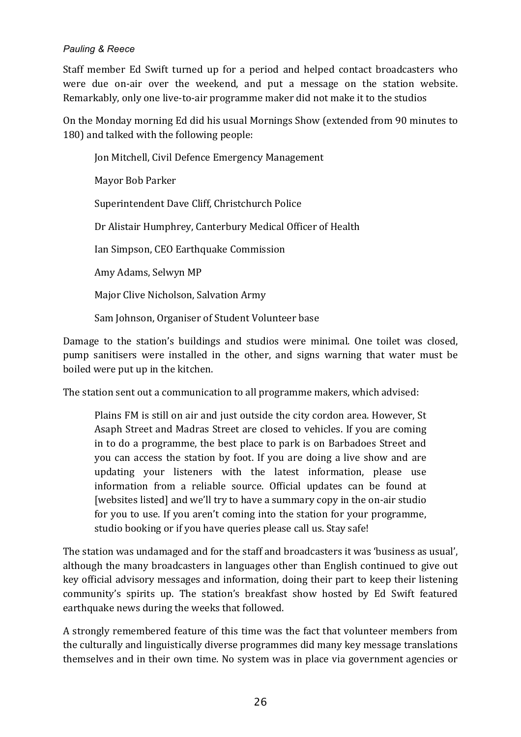Staff member Ed Swift turned up for a period and helped contact broadcasters who were due on-air over the weekend, and put a message on the station website. Remarkably, only one live-to-air programme maker did not make it to the studios

On the Monday morning Ed did his usual Mornings Show (extended from 90 minutes to 180) and talked with the following people:

Jon Mitchell, Civil Defence Emergency Management Mayor Bob Parker Superintendent Dave Cliff, Christchurch Police Dr Alistair Humphrey, Canterbury Medical Officer of Health Ian Simpson, CEO Earthquake Commission Amy Adams, Selwyn MP Major Clive Nicholson, Salvation Army Sam Johnson, Organiser of Student Volunteer base

Damage to the station's buildings and studios were minimal. One toilet was closed, pump sanitisers were installed in the other, and signs warning that water must be boiled were put up in the kitchen.

The station sent out a communication to all programme makers, which advised:

Plains FM is still on air and just outside the city cordon area. However, St Asaph Street and Madras Street are closed to vehicles. If you are coming in to do a programme, the best place to park is on Barbadoes Street and you can access the station by foot. If you are doing a live show and are updating your listeners with the latest information, please use information from a reliable source. Official updates can be found at [websites listed] and we'll try to have a summary copy in the on-air studio for you to use. If you aren't coming into the station for your programme, studio booking or if you have queries please call us. Stay safe!

The station was undamaged and for the staff and broadcasters it was 'business as usual'. although the many broadcasters in languages other than English continued to give out key official advisory messages and information, doing their part to keep their listening community's spirits up. The station's breakfast show hosted by Ed Swift featured earthquake news during the weeks that followed.

A strongly remembered feature of this time was the fact that volunteer members from the culturally and linguistically diverse programmes did many key message translations themselves and in their own time. No system was in place via government agencies or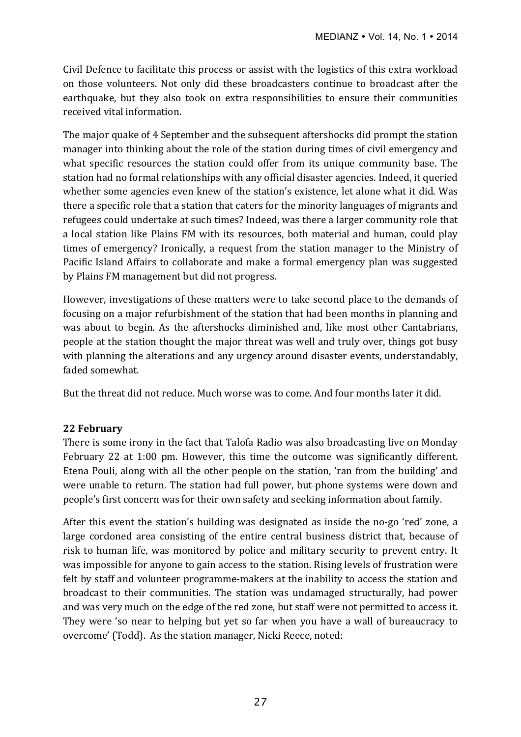Civil Defence to facilitate this process or assist with the logistics of this extra workload on those volunteers. Not only did these broadcasters continue to broadcast after the earthquake, but they also took on extra responsibilities to ensure their communities received vital information.

The major quake of 4 September and the subsequent aftershocks did prompt the station manager into thinking about the role of the station during times of civil emergency and what specific resources the station could offer from its unique community base. The station had no formal relationships with any official disaster agencies. Indeed, it queried whether some agencies even knew of the station's existence, let alone what it did. Was there a specific role that a station that caters for the minority languages of migrants and refugees could undertake at such times? Indeed, was there a larger community role that a local station like Plains FM with its resources, both material and human, could play times of emergency? Ironically, a request from the station manager to the Ministry of Pacific Island Affairs to collaborate and make a formal emergency plan was suggested by Plains FM management but did not progress.

However, investigations of these matters were to take second place to the demands of focusing on a major refurbishment of the station that had been months in planning and was about to begin. As the aftershocks diminished and, like most other Cantabrians, people at the station thought the major threat was well and truly over, things got busy with planning the alterations and any urgency around disaster events, understandably, faded somewhat.

But the threat did not reduce. Much worse was to come. And four months later it did.

#### **22 February**

There is some irony in the fact that Talofa Radio was also broadcasting live on Monday February 22 at  $1:00$  pm. However, this time the outcome was significantly different. Etena Pouli, along with all the other people on the station, 'ran from the building' and were unable to return. The station had full power, but-phone systems were down and people's first concern was for their own safety and seeking information about family.

After this event the station's building was designated as inside the no-go 'red' zone, a large cordoned area consisting of the entire central business district that, because of risk to human life, was monitored by police and military security to prevent entry. It was impossible for anyone to gain access to the station. Rising levels of frustration were felt by staff and volunteer programme-makers at the inability to access the station and broadcast to their communities. The station was undamaged structurally, had power and was very much on the edge of the red zone, but staff were not permitted to access it. They were 'so near to helping but yet so far when you have a wall of bureaucracy to overcome' (Todd). As the station manager, Nicki Reece, noted: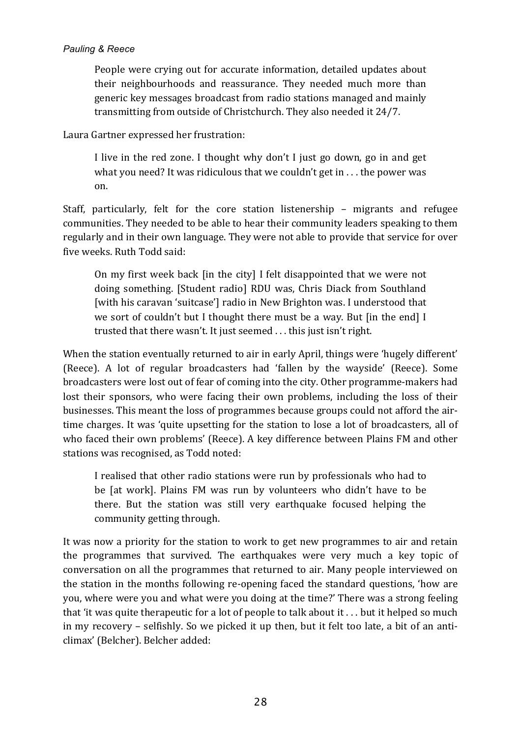People were crying out for accurate information, detailed updates about their neighbourhoods and reassurance. They needed much more than generic key messages broadcast from radio stations managed and mainly transmitting from outside of Christchurch. They also needed it 24/7.

Laura Gartner expressed her frustration:

I live in the red zone. I thought why don't I just go down, go in and get what you need? It was ridiculous that we couldn't get in  $\dots$  the power was on.

Staff, particularly, felt for the core station listenership – migrants and refugee communities. They needed to be able to hear their community leaders speaking to them regularly and in their own language. They were not able to provide that service for over five weeks. Ruth Todd said:

On my first week back [in the city] I felt disappointed that we were not doing something. [Student radio] RDU was, Chris Diack from Southland [with his caravan 'suitcase'] radio in New Brighton was. I understood that we sort of couldn't but I thought there must be a way. But [in the end] I trusted that there wasn't. It just seemed . . . this just isn't right.

When the station eventually returned to air in early April, things were 'hugely different' (Reece). A lot of regular broadcasters had 'fallen by the wayside' (Reece). Some broadcasters were lost out of fear of coming into the city. Other programme-makers had lost their sponsors, who were facing their own problems, including the loss of their businesses. This meant the loss of programmes because groups could not afford the airtime charges. It was 'quite upsetting for the station to lose a lot of broadcasters, all of who faced their own problems' (Reece). A key difference between Plains FM and other stations was recognised, as Todd noted:

I realised that other radio stations were run by professionals who had to be [at work]. Plains FM was run by volunteers who didn't have to be there. But the station was still very earthquake focused helping the community getting through.

It was now a priority for the station to work to get new programmes to air and retain the programmes that survived. The earthquakes were very much a key topic of conversation on all the programmes that returned to air. Many people interviewed on the station in the months following re-opening faced the standard questions, 'how are you, where were you and what were you doing at the time?' There was a strong feeling that 'it was quite therapeutic for a lot of people to talk about it  $\dots$  but it helped so much in my recovery - selfishly. So we picked it up then, but it felt too late, a bit of an anticlimax' (Belcher). Belcher added: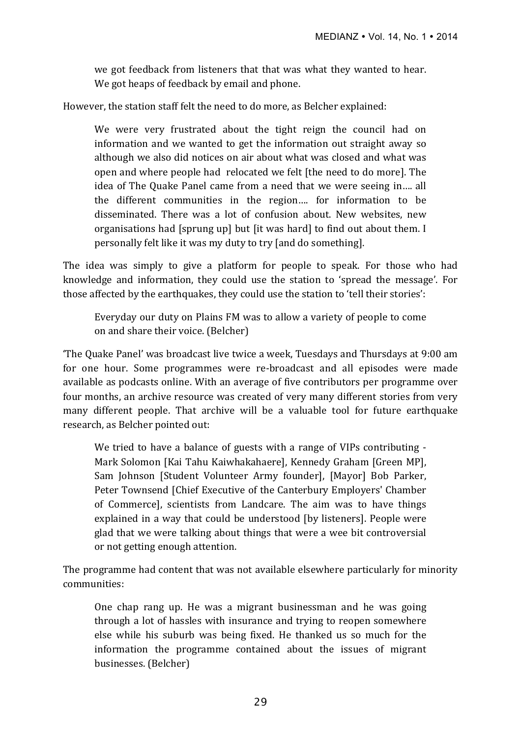we got feedback from listeners that that was what they wanted to hear. We got heaps of feedback by email and phone.

However, the station staff felt the need to do more, as Belcher explained:

We were very frustrated about the tight reign the council had on information and we wanted to get the information out straight away so although we also did notices on air about what was closed and what was open and where people had relocated we felt ithe need to do morel. The idea of The Quake Panel came from a need that we were seeing in.... all the different communities in the region... for information to be disseminated. There was a lot of confusion about. New websites, new organisations had [sprung up] but [it was hard] to find out about them. I personally felt like it was my duty to try [and do something].

The idea was simply to give a platform for people to speak. For those who had knowledge and information, they could use the station to 'spread the message'. For those affected by the earthquakes, they could use the station to 'tell their stories':

Everyday our duty on Plains FM was to allow a variety of people to come on and share their voice. (Belcher)

'The Quake Panel' was broadcast live twice a week, Tuesdays and Thursdays at 9:00 am for one hour. Some programmes were re-broadcast and all episodes were made available as podcasts online. With an average of five contributors per programme over four months, an archive resource was created of very many different stories from very many different people. That archive will be a valuable tool for future earthquake research, as Belcher pointed out:

We tried to have a balance of guests with a range of VIPs contributing  $-$ Mark Solomon [Kai Tahu Kaiwhakahaere], Kennedy Graham [Green MP], Sam Johnson [Student Volunteer Army founder], [Mayor] Bob Parker, Peter Townsend [Chief Executive of the Canterbury Employers' Chamber of Commerce], scientists from Landcare. The aim was to have things explained in a way that could be understood [by listeners]. People were glad that we were talking about things that were a wee bit controversial or not getting enough attention.

The programme had content that was not available elsewhere particularly for minority communities:

One chap rang up. He was a migrant businessman and he was going through a lot of hassles with insurance and trying to reopen somewhere else while his suburb was being fixed. He thanked us so much for the information the programme contained about the issues of migrant businesses. (Belcher)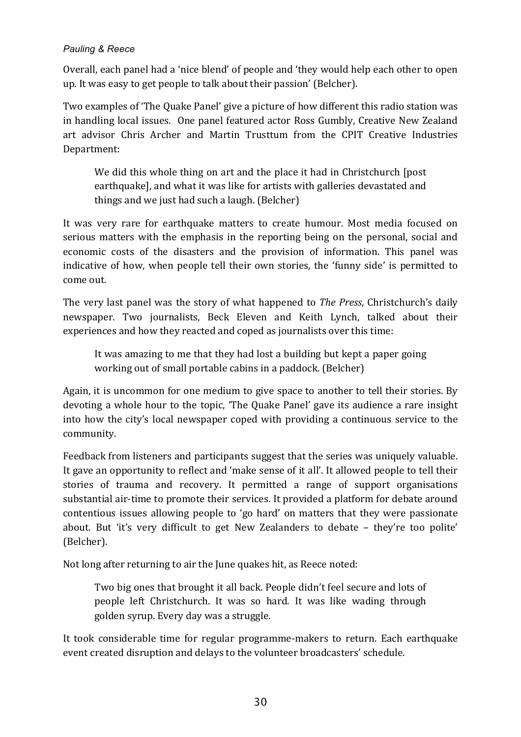Overall, each panel had a 'nice blend' of people and 'they would help each other to open up. It was easy to get people to talk about their passion' (Belcher).

Two examples of 'The Quake Panel' give a picture of how different this radio station was in handling local issues. One panel featured actor Ross Gumbly, Creative New Zealand art advisor Chris Archer and Martin Trusttum from the CPIT Creative Industries Department:

We did this whole thing on art and the place it had in Christchurch [post] earthquake], and what it was like for artists with galleries devastated and things and we just had such a laugh. (Belcher)

It was very rare for earthquake matters to create humour. Most media focused on serious matters with the emphasis in the reporting being on the personal, social and economic costs of the disasters and the provision of information. This panel was indicative of how, when people tell their own stories, the 'funny side' is permitted to come out.

The very last panel was the story of what happened to *The Press*, Christchurch's daily newspaper. Two journalists, Beck Eleven and Keith Lynch, talked about their experiences and how they reacted and coped as journalists over this time:

It was amazing to me that they had lost a building but kept a paper going working out of small portable cabins in a paddock. (Belcher)

Again, it is uncommon for one medium to give space to another to tell their stories. By devoting a whole hour to the topic, 'The Quake Panel' gave its audience a rare insight into how the city's local newspaper coped with providing a continuous service to the community.

Feedback from listeners and participants suggest that the series was uniquely valuable. It gave an opportunity to reflect and 'make sense of it all'. It allowed people to tell their stories of trauma and recovery. It permitted a range of support organisations substantial air-time to promote their services. It provided a platform for debate around contentious issues allowing people to 'go hard' on matters that they were passionate about. But 'it's very difficult to get New Zealanders to debate – they're too polite' (Belcher). 

Not long after returning to air the June quakes hit, as Reece noted:

Two big ones that brought it all back. People didn't feel secure and lots of people left Christchurch. It was so hard. It was like wading through golden syrup. Every day was a struggle.

It took considerable time for regular programme-makers to return. Each earthquake event created disruption and delays to the volunteer broadcasters' schedule.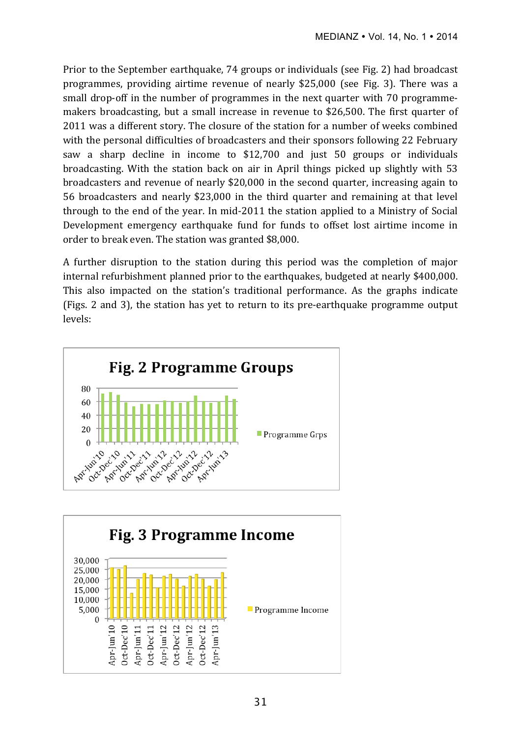Prior to the September earthquake, 74 groups or individuals (see Fig. 2) had broadcast programmes, providing airtime revenue of nearly \$25,000 (see Fig. 3). There was a small drop-off in the number of programmes in the next quarter with 70 programmemakers broadcasting, but a small increase in revenue to \$26,500. The first quarter of 2011 was a different story. The closure of the station for a number of weeks combined with the personal difficulties of broadcasters and their sponsors following 22 February saw a sharp decline in income to  $$12,700$  and just 50 groups or individuals broadcasting. With the station back on air in April things picked up slightly with 53 broadcasters and revenue of nearly \$20,000 in the second quarter, increasing again to 56 broadcasters and nearly \$23,000 in the third quarter and remaining at that level through to the end of the year. In mid-2011 the station applied to a Ministry of Social Development emergency earthquake fund for funds to offset lost airtime income in order to break even. The station was granted \$8,000.

A further disruption to the station during this period was the completion of major internal refurbishment planned prior to the earthquakes, budgeted at nearly \$400,000. This also impacted on the station's traditional performance. As the graphs indicate (Figs. 2 and 3), the station has yet to return to its pre-earthquake programme output levels:



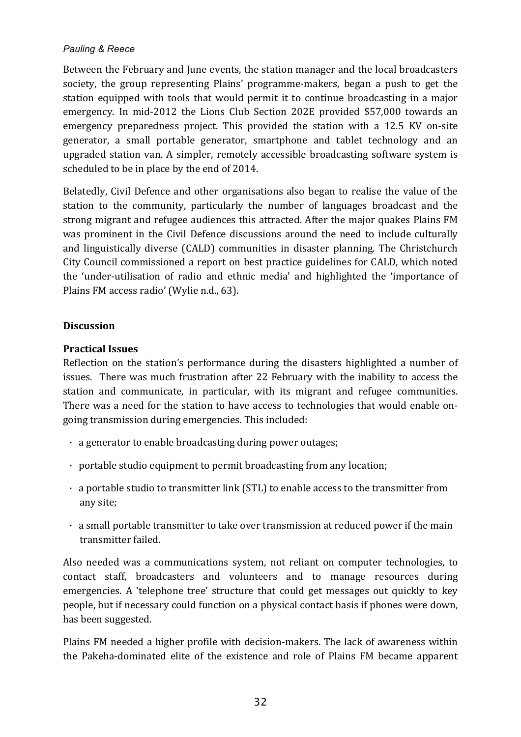Between the February and June events, the station manager and the local broadcasters society, the group representing Plains' programme-makers, began a push to get the station equipped with tools that would permit it to continue broadcasting in a major emergency. In mid-2012 the Lions Club Section 202E provided \$57,000 towards an emergency preparedness project. This provided the station with a 12.5 KV on-site generator, a small portable generator, smartphone and tablet technology and an upgraded station van. A simpler, remotely accessible broadcasting software system is scheduled to be in place by the end of 2014.

Belatedly, Civil Defence and other organisations also began to realise the value of the station to the community, particularly the number of languages broadcast and the strong migrant and refugee audiences this attracted. After the major quakes Plains FM was prominent in the Civil Defence discussions around the need to include culturally and linguistically diverse (CALD) communities in disaster planning. The Christchurch City Council commissioned a report on best practice guidelines for CALD, which noted the 'under-utilisation of radio and ethnic media' and highlighted the 'importance of Plains FM access radio' (Wylie n.d., 63).

## **Discussion**

## **Practical Issues**

Reflection on the station's performance during the disasters highlighted a number of issues. There was much frustration after 22 February with the inability to access the station and communicate, in particular, with its migrant and refugee communities. There was a need for the station to have access to technologies that would enable ongoing transmission during emergencies. This included:

- $\cdot$  a generator to enable broadcasting during power outages;
- $\cdot$  portable studio equipment to permit broadcasting from any location;
- $\cdot$  a portable studio to transmitter link (STL) to enable access to the transmitter from any site;
- $\cdot$  a small portable transmitter to take over transmission at reduced power if the main transmitter failed.

Also needed was a communications system, not reliant on computer technologies, to contact staff, broadcasters and volunteers and to manage resources during emergencies. A 'telephone tree' structure that could get messages out quickly to key people, but if necessary could function on a physical contact basis if phones were down, has been suggested.

Plains FM needed a higher profile with decision-makers. The lack of awareness within the Pakeha-dominated elite of the existence and role of Plains FM became apparent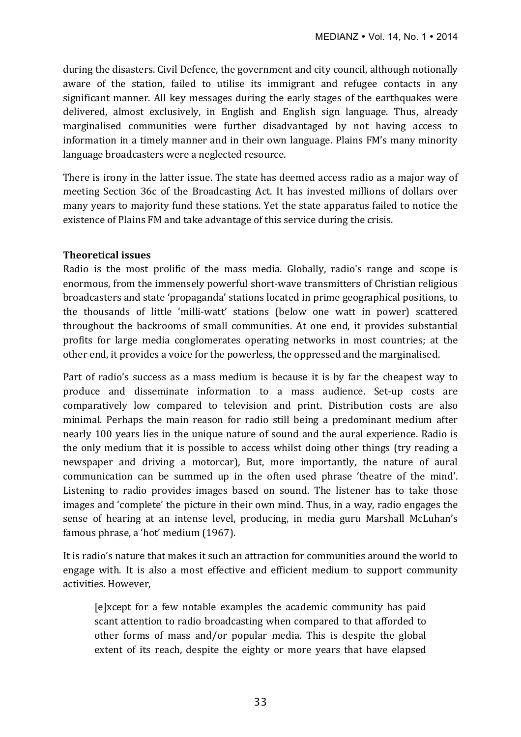during the disasters. Civil Defence, the government and city council, although notionally aware of the station, failed to utilise its immigrant and refugee contacts in any significant manner. All key messages during the early stages of the earthquakes were delivered, almost exclusively, in English and English sign language. Thus, already marginalised communities were further disadvantaged by not having access to information in a timely manner and in their own language. Plains FM's many minority language broadcasters were a neglected resource.

There is irony in the latter issue. The state has deemed access radio as a major way of meeting Section 36c of the Broadcasting Act. It has invested millions of dollars over many years to majority fund these stations. Yet the state apparatus failed to notice the existence of Plains FM and take advantage of this service during the crisis.

## **Theoretical issues**

Radio is the most prolific of the mass media. Globally, radio's range and scope is enormous, from the immensely powerful short-wave transmitters of Christian religious broadcasters and state 'propaganda' stations located in prime geographical positions, to the thousands of little 'milli-watt' stations (below one watt in power) scattered throughout the backrooms of small communities. At one end, it provides substantial profits for large media conglomerates operating networks in most countries; at the other end, it provides a voice for the powerless, the oppressed and the marginalised.

Part of radio's success as a mass medium is because it is by far the cheapest way to produce and disseminate information to a mass audience. Set-up costs are comparatively low compared to television and print. Distribution costs are also minimal. Perhaps the main reason for radio still being a predominant medium after nearly 100 years lies in the unique nature of sound and the aural experience. Radio is the only medium that it is possible to access whilst doing other things (try reading a newspaper and driving a motorcar), But, more importantly, the nature of aural communication can be summed up in the often used phrase 'theatre of the mind'. Listening to radio provides images based on sound. The listener has to take those images and 'complete' the picture in their own mind. Thus, in a way, radio engages the sense of hearing at an intense level, producing, in media guru Marshall McLuhan's famous phrase, a 'hot' medium (1967).

It is radio's nature that makes it such an attraction for communities around the world to engage with. It is also a most effective and efficient medium to support community activities. However,

[e]xcept for a few notable examples the academic community has paid scant attention to radio broadcasting when compared to that afforded to other forms of mass and/or popular media. This is despite the global extent of its reach, despite the eighty or more years that have elapsed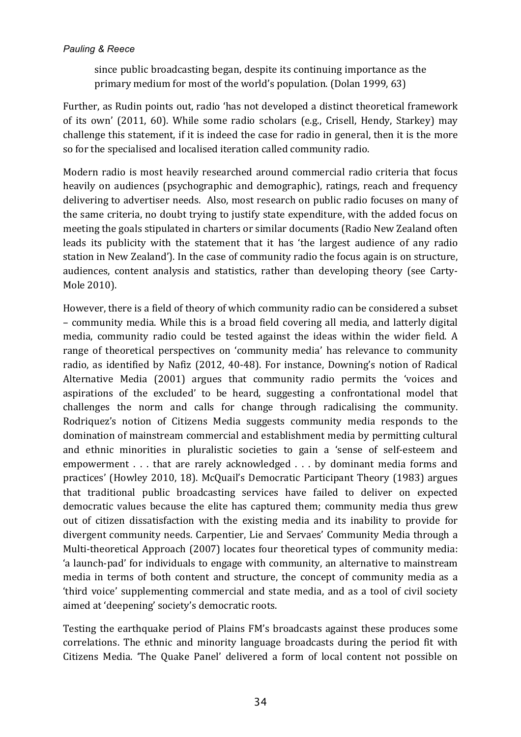since public broadcasting began, despite its continuing importance as the primary medium for most of the world's population. (Dolan 1999, 63)

Further, as Rudin points out, radio 'has not developed a distinct theoretical framework of its own' (2011, 60). While some radio scholars (e.g., Crisell, Hendy, Starkey) may challenge this statement, if it is indeed the case for radio in general, then it is the more so for the specialised and localised iteration called community radio.

Modern radio is most heavily researched around commercial radio criteria that focus heavily on audiences (psychographic and demographic), ratings, reach and frequency delivering to advertiser needs. Also, most research on public radio focuses on many of the same criteria, no doubt trying to justify state expenditure, with the added focus on meeting the goals stipulated in charters or similar documents (Radio New Zealand often leads its publicity with the statement that it has 'the largest audience of any radio station in New Zealand'). In the case of community radio the focus again is on structure, audiences, content analysis and statistics, rather than developing theory (see Carty-Mole 2010).

However, there is a field of theory of which community radio can be considered a subset – community media. While this is a broad field covering all media, and latterly digital media, community radio could be tested against the ideas within the wider field. A range of theoretical perspectives on 'community media' has relevance to community radio, as identified by Nafiz (2012, 40-48). For instance, Downing's notion of Radical Alternative Media (2001) argues that community radio permits the 'voices and aspirations of the excluded' to be heard, suggesting a confrontational model that challenges the norm and calls for change through radicalising the community. Rodriquez's notion of Citizens Media suggests community media responds to the domination of mainstream commercial and establishment media by permitting cultural and ethnic minorities in pluralistic societies to gain a 'sense of self-esteem and empowerment  $\ldots$  that are rarely acknowledged  $\ldots$  by dominant media forms and practices' (Howley 2010, 18). McQuail's Democratic Participant Theory (1983) argues that traditional public broadcasting services have failed to deliver on expected democratic values because the elite has captured them; community media thus grew out of citizen dissatisfaction with the existing media and its inability to provide for divergent community needs. Carpentier, Lie and Servaes' Community Media through a Multi-theoretical Approach (2007) locates four theoretical types of community media: 'a launch-pad' for individuals to engage with community, an alternative to mainstream media in terms of both content and structure, the concept of community media as a 'third voice' supplementing commercial and state media, and as a tool of civil society aimed at 'deepening' society's democratic roots.

Testing the earthquake period of Plains FM's broadcasts against these produces some correlations. The ethnic and minority language broadcasts during the period fit with Citizens Media. 'The Quake Panel' delivered a form of local content not possible on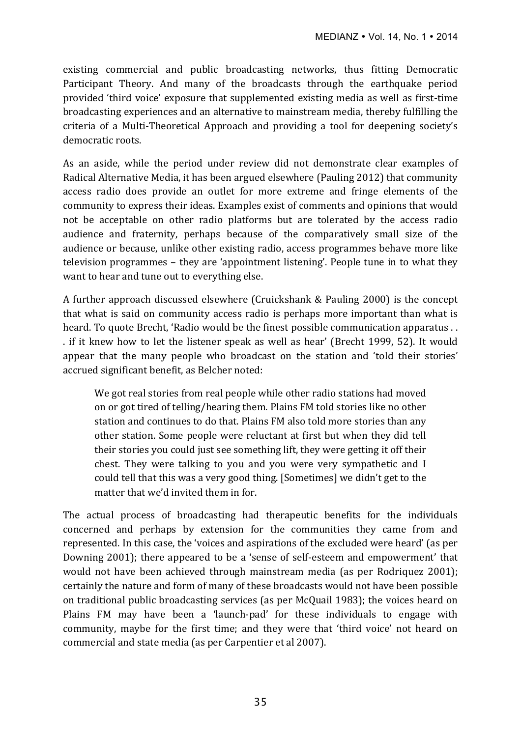existing commercial and public broadcasting networks, thus fitting Democratic Participant Theory. And many of the broadcasts through the earthquake period provided 'third voice' exposure that supplemented existing media as well as first-time broadcasting experiences and an alternative to mainstream media, thereby fulfilling the criteria of a Multi-Theoretical Approach and providing a tool for deepening society's democratic roots.

As an aside, while the period under review did not demonstrate clear examples of Radical Alternative Media, it has been argued elsewhere (Pauling 2012) that community access radio does provide an outlet for more extreme and fringe elements of the community to express their ideas. Examples exist of comments and opinions that would not be acceptable on other radio platforms but are tolerated by the access radio audience and fraternity, perhaps because of the comparatively small size of the audience or because, unlike other existing radio, access programmes behave more like television programmes – they are 'appointment listening'. People tune in to what they want to hear and tune out to everything else.

A further approach discussed elsewhere (Cruickshank & Pauling 2000) is the concept that what is said on community access radio is perhaps more important than what is heard. To quote Brecht, 'Radio would be the finest possible communication apparatus . . . if it knew how to let the listener speak as well as hear' (Brecht 1999, 52). It would appear that the many people who broadcast on the station and 'told their stories' accrued significant benefit, as Belcher noted:

We got real stories from real people while other radio stations had moved on or got tired of telling/hearing them. Plains FM told stories like no other station and continues to do that. Plains FM also told more stories than any other station. Some people were reluctant at first but when they did tell their stories you could just see something lift, they were getting it off their chest. They were talking to you and you were very sympathetic and I could tell that this was a very good thing. [Sometimes] we didn't get to the matter that we'd invited them in for

The actual process of broadcasting had therapeutic benefits for the individuals concerned and perhaps by extension for the communities they came from and represented. In this case, the 'voices and aspirations of the excluded were heard' (as per Downing 2001); there appeared to be a 'sense of self-esteem and empowerment' that would not have been achieved through mainstream media (as per Rodriquez 2001); certainly the nature and form of many of these broadcasts would not have been possible on traditional public broadcasting services (as per McQuail 1983); the voices heard on Plains FM may have been a 'launch-pad' for these individuals to engage with community, maybe for the first time; and they were that 'third voice' not heard on commercial and state media (as per Carpentier et al 2007).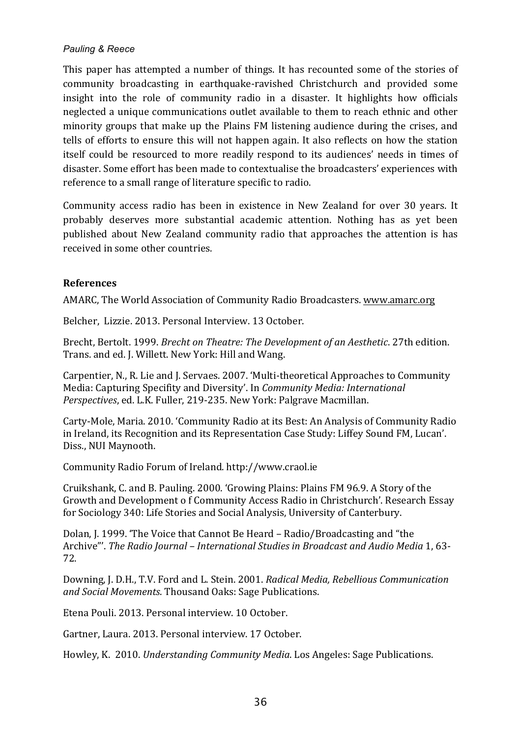This paper has attempted a number of things. It has recounted some of the stories of community broadcasting in earthquake-ravished Christchurch and provided some insight into the role of community radio in a disaster. It highlights how officials neglected a unique communications outlet available to them to reach ethnic and other minority groups that make up the Plains FM listening audience during the crises, and tells of efforts to ensure this will not happen again. It also reflects on how the station itself could be resourced to more readily respond to its audiences' needs in times of disaster. Some effort has been made to contextualise the broadcasters' experiences with reference to a small range of literature specific to radio.

Community access radio has been in existence in New Zealand for over 30 years. It probably deserves more substantial academic attention. Nothing has as yet been published about New Zealand community radio that approaches the attention is has received in some other countries.

## **References**

AMARC, The World Association of Community Radio Broadcasters. www.amarc.org

Belcher, Lizzie. 2013. Personal Interview. 13 October.

Brecht, Bertolt. 1999. *Brecht on Theatre: The Development of an Aesthetic*. 27th edition. Trans. and ed. J. Willett. New York: Hill and Wang.

Carpentier, N., R. Lie and J. Servaes. 2007. 'Multi-theoretical Approaches to Community Media: Capturing Specifity and Diversity'. In *Community Media: International Perspectives*, ed. L.K. Fuller, 219-235. New York: Palgrave Macmillan.

Carty-Mole, Maria. 2010. 'Community Radio at its Best: An Analysis of Community Radio in Ireland, its Recognition and its Representation Case Study: Liffey Sound FM, Lucan'. Diss., NUI Maynooth.

Community Radio Forum of Ireland. http://www.craol.ie

Cruikshank, C. and B. Pauling. 2000. 'Growing Plains: Plains FM 96.9. A Story of the Growth and Development o f Community Access Radio in Christchurch'. Research Essay for Sociology 340: Life Stories and Social Analysis, University of Canterbury.

Dolan, I. 1999. 'The Voice that Cannot Be Heard – Radio/Broadcasting and "the Archive"'. The Radio *Journal - International Studies in Broadcast and Audio Media* 1, 63-72.

Downing, J. D.H., T.V. Ford and L. Stein. 2001. *Radical Media, Rebellious Communication and Social Movements*. Thousand Oaks: Sage Publications.

Etena Pouli. 2013. Personal interview. 10 October.

Gartner, Laura. 2013. Personal interview. 17 October.

Howley, K. 2010. *Understanding Community Media*. Los Angeles: Sage Publications.